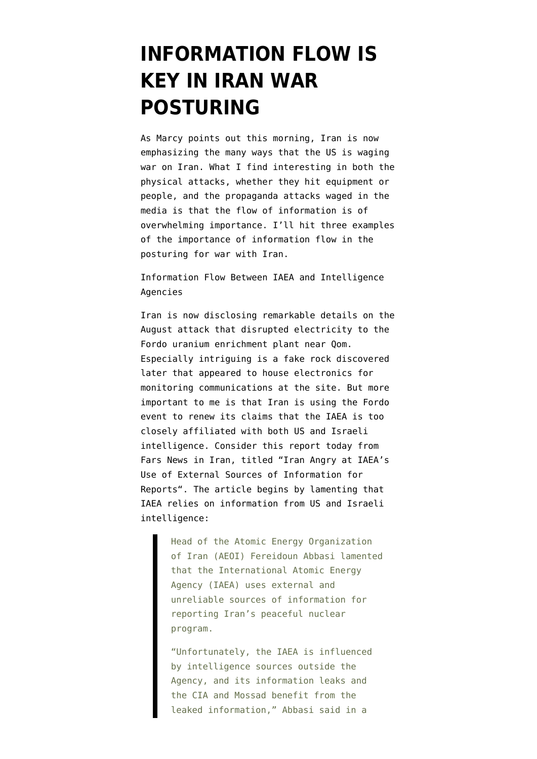## **[INFORMATION FLOW IS](https://www.emptywheel.net/2012/09/26/information-flow-is-key-in-iran-war-posturing/) [KEY IN IRAN WAR](https://www.emptywheel.net/2012/09/26/information-flow-is-key-in-iran-war-posturing/) [POSTURING](https://www.emptywheel.net/2012/09/26/information-flow-is-key-in-iran-war-posturing/)**

As [Marcy points out this morning,](http://www.emptywheel.net/2012/09/26/we-have-always-been-at-war-in-iran/#more-30119) Iran is now emphasizing the many ways that the US is waging war on Iran. What I find interesting in both the physical attacks, whether they hit equipment or people, and the propaganda attacks waged in the media is that the flow of information is of overwhelming importance. I'll hit three examples of the importance of information flow in the posturing for war with Iran.

Information Flow Between IAEA and Intelligence Agencies

Iran is now disclosing remarkable details on the August attack that disrupted electricity to the Fordo uranium enrichment plant near Qom. Especially intriguing is a [fake rock](http://www.heraldsun.com.au/ipad/german-firm-sold-booby-trapped-nuke-tech-to-iran-mp/story-fnbzs1v0-1226480092647) discovered later that appeared to house electronics for monitoring communications at the site. But more important to me is that Iran is using the Fordo event to renew its claims that the IAEA is too closely affiliated with both US and Israeli intelligence. Consider this report today from Fars News in Iran, titled ["Iran Angry at IAEA's](http://english.farsnews.com/newstext.php?nn=9106242346) [Use of External Sources of Information for](http://english.farsnews.com/newstext.php?nn=9106242346) [Reports"](http://english.farsnews.com/newstext.php?nn=9106242346). The article begins by lamenting that IAEA relies on information from US and Israeli intelligence:

> Head of the Atomic Energy Organization of Iran (AEOI) Fereidoun Abbasi lamented that the International Atomic Energy Agency (IAEA) uses external and unreliable sources of information for reporting Iran's peaceful nuclear program.

"Unfortunately, the IAEA is influenced by intelligence sources outside the Agency, and its information leaks and the CIA and Mossad benefit from the leaked information," Abbasi said in a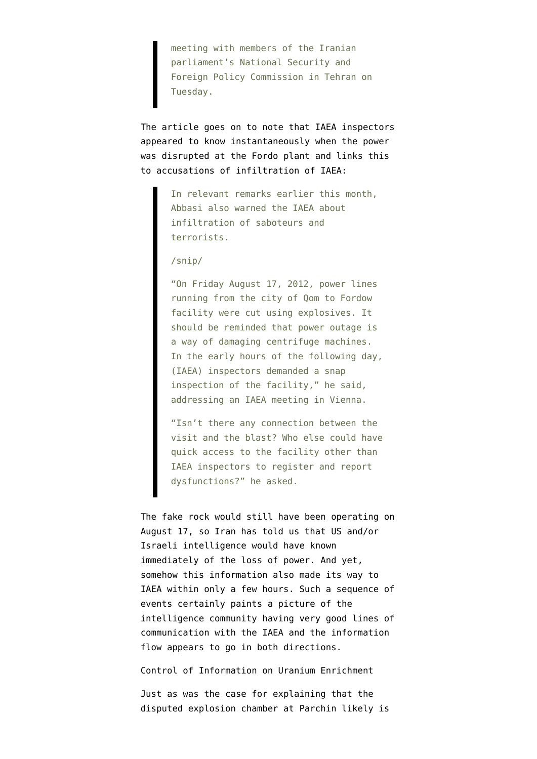meeting with members of the Iranian parliament's National Security and Foreign Policy Commission in Tehran on Tuesday.

The article goes on to note that IAEA inspectors appeared to know instantaneously when the power was disrupted at the Fordo plant and links this to accusations of infiltration of IAEA:

> In relevant remarks earlier this month, Abbasi also warned the IAEA about infiltration of saboteurs and terrorists.

/snip/

"On Friday August 17, 2012, power lines running from the city of Qom to Fordow facility were cut using explosives. It should be reminded that power outage is a way of damaging centrifuge machines. In the early hours of the following day, (IAEA) inspectors demanded a snap inspection of the facility," he said, addressing an IAEA meeting in Vienna.

"Isn't there any connection between the visit and the blast? Who else could have quick access to the facility other than IAEA inspectors to register and report dysfunctions?" he asked.

The fake rock would still have been operating on August 17, so Iran has told us that US and/or Israeli intelligence would have known immediately of the loss of power. And yet, somehow this information also made its way to IAEA within only a few hours. Such a sequence of events certainly paints a picture of the intelligence community having very good lines of communication with the IAEA and the information flow appears to go in both directions.

Control of Information on Uranium Enrichment

Just as was the case for explaining that [the](http://www.moonofalabama.org/2011/11/on-nuclear-iran-allegations-nanodiamonds-aint-nuclear-bombs.html) [disputed explosion chamber at Parchin likely is](http://www.moonofalabama.org/2011/11/on-nuclear-iran-allegations-nanodiamonds-aint-nuclear-bombs.html)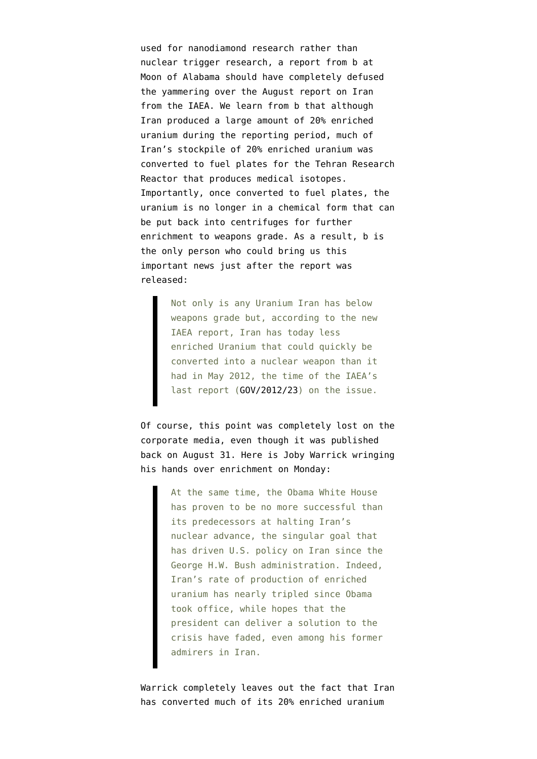[used for nanodiamond research rather than](http://www.moonofalabama.org/2011/11/on-nuclear-iran-allegations-nanodiamonds-aint-nuclear-bombs.html) [nuclear trigger research,](http://www.moonofalabama.org/2011/11/on-nuclear-iran-allegations-nanodiamonds-aint-nuclear-bombs.html) a report from b at Moon of Alabama should have completely defused the yammering over the August report on Iran from the IAEA. We learn from b that although Iran produced a large amount of 20% enriched uranium during the reporting period, [much of](http://www.moonofalabama.org/2012/08/iaea-iranian-nuclear-danger-decreased.html) [Iran's stockpile of 20% enriched uranium was](http://www.moonofalabama.org/2012/08/iaea-iranian-nuclear-danger-decreased.html) [converted to fuel plates for the Tehran Research](http://www.moonofalabama.org/2012/08/iaea-iranian-nuclear-danger-decreased.html) [Reactor](http://www.moonofalabama.org/2012/08/iaea-iranian-nuclear-danger-decreased.html) that produces medical isotopes. Importantly, once converted to fuel plates, the uranium is no longer in a chemical form that can be put back into centrifuges for further enrichment to weapons grade. As a result, b is the only person who could bring us this important news just after the report was released:

> Not only is any Uranium Iran has below weapons grade but, according to the new IAEA report, Iran has today less enriched Uranium that could quickly be converted into a nuclear weapon than it had in May 2012, the time of the IAEA's last report ([GOV/2012/23\)](http://www.isis-online.org/uploads/isis-reports/documents/IAEA_Iran_Report_25May2012.pdf) on the issue.

Of course, this point was completely lost on the corporate media, even though it was published back on August 31. Here is [Joby Warrick wringing](http://www.washingtonpost.com/world/national-security/obamas-policy-on-iran-bears-some-fruit-but-nuclear-program-still-advances/2012/09/24/f51f9a04-fc21-11e1-a31e-804fccb658f9_story.html) [his hands over enrichment on Monday](http://www.washingtonpost.com/world/national-security/obamas-policy-on-iran-bears-some-fruit-but-nuclear-program-still-advances/2012/09/24/f51f9a04-fc21-11e1-a31e-804fccb658f9_story.html):

> At the same time, the Obama White House has proven to be no more successful than its predecessors at halting Iran's nuclear advance, the singular goal that has driven U.S. policy on Iran since the George H.W. Bush administration. Indeed, Iran's rate of production of enriched uranium has nearly tripled since Obama took office, while hopes that the president can deliver a solution to the crisis have faded, even among his former admirers in Iran.

Warrick completely leaves out the fact that Iran has converted much of its 20% enriched uranium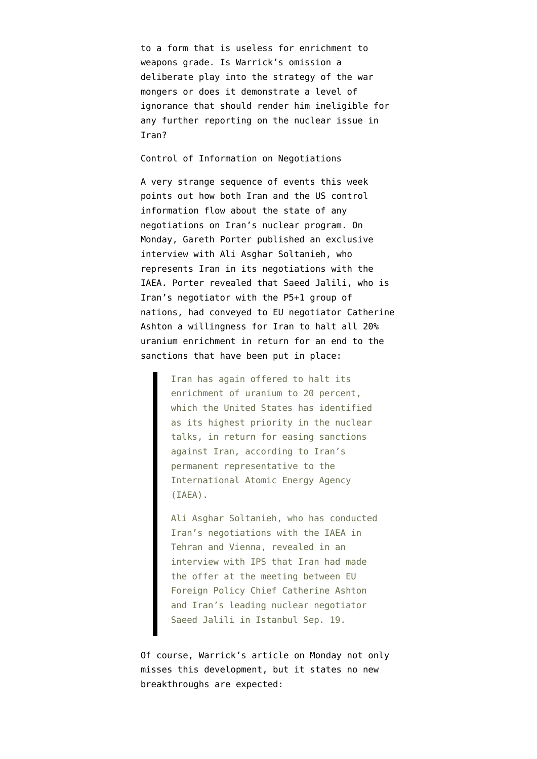to a form that is useless for enrichment to weapons grade. Is Warrick's omission a deliberate play into the strategy of the war mongers or does it demonstrate a level of ignorance that should render him ineligible for any further reporting on the nuclear issue in Iran?

Control of Information on Negotiations

A very strange sequence of events this week points out how both Iran and the US control information flow about the state of any negotiations on Iran's nuclear program. On Monday, [Gareth Porter published an exclusive](http://www.ipsnews.net/2012/09/iranian-diplomat-says-iran-offered-deal-to-halt-20-percent-enrichment/) [interview with Ali Asghar Soltanieh](http://www.ipsnews.net/2012/09/iranian-diplomat-says-iran-offered-deal-to-halt-20-percent-enrichment/), who represents Iran in its negotiations with the IAEA. Porter revealed that Saeed Jalili, who is Iran's negotiator with the P5+1 group of nations, had conveyed to EU negotiator Catherine Ashton a willingness for Iran to halt all 20% uranium enrichment in return for an end to the sanctions that have been put in place:

> Iran has again offered to halt its enrichment of uranium to 20 percent, which the United States has identified as its highest priority in the nuclear talks, in return for easing sanctions against Iran, according to Iran's permanent representative to the International Atomic Energy Agency (IAEA).

Ali Asghar Soltanieh, who has conducted Iran's negotiations with the IAEA in Tehran and Vienna, revealed in an interview with IPS that Iran had made the offer at the meeting between EU Foreign Policy Chief Catherine Ashton and Iran's leading nuclear negotiator Saeed Jalili in Istanbul Sep. 19.

Of course, Warrick's article on Monday not only misses this development, but it states no new breakthroughs are expected: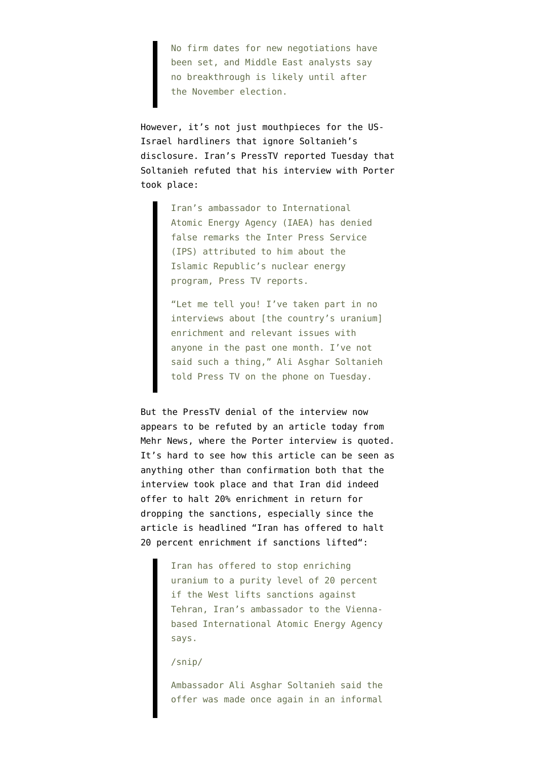No firm dates for new negotiations have been set, and Middle East analysts say no breakthrough is likely until after the November election.

However, it's not just mouthpieces for the US-Israel hardliners that ignore Soltanieh's disclosure. Iran's PressTV reported Tuesday that [Soltanieh refuted that his interview with Porter](http://presstv.com/detail/2012/09/25/263514/irans-iaea-envoy-denies-ips-interview/) [took place:](http://presstv.com/detail/2012/09/25/263514/irans-iaea-envoy-denies-ips-interview/)

> Iran's ambassador to International Atomic Energy Agency (IAEA) has denied false remarks the Inter Press Service (IPS) attributed to him about the Islamic Republic's nuclear energy program, Press TV reports.

"Let me tell you! I've taken part in no interviews about [the country's uranium] enrichment and relevant issues with anyone in the past one month. I've not said such a thing," Ali Asghar Soltanieh told Press TV on the phone on Tuesday.

But the PressTV denial of the interview now appears to be refuted by an article today from Mehr News, where the Porter interview is quoted. It's hard to see how this article can be seen as anything other than confirmation both that the interview took place and that Iran did indeed offer to halt 20% enrichment in return for dropping the sanctions, especially since the article is headlined ["Iran has offered to halt](http://www.mehrnews.com/en/newsdetail.aspx?NewsID=1705414) [20 percent enrichment if sanctions lifted"](http://www.mehrnews.com/en/newsdetail.aspx?NewsID=1705414):

> Iran has offered to stop enriching uranium to a purity level of 20 percent if the West lifts sanctions against Tehran, Iran's ambassador to the Viennabased International Atomic Energy Agency says.

## /snip/

Ambassador Ali Asghar Soltanieh said the offer was made once again in an informal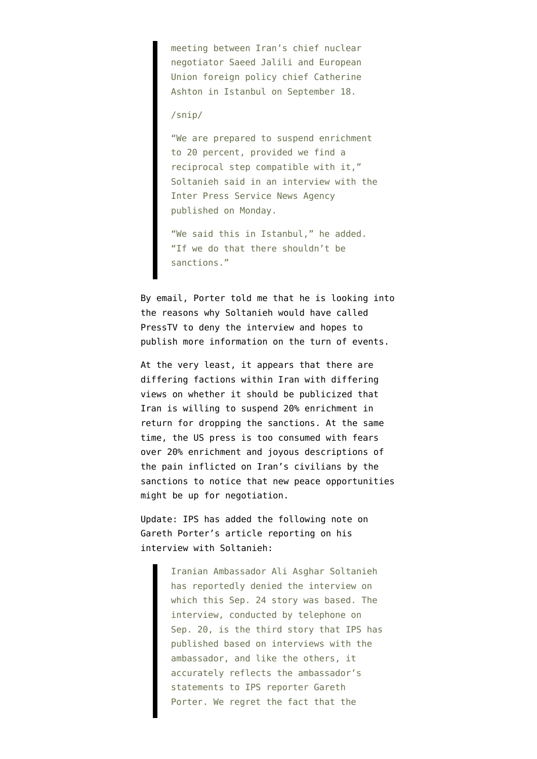meeting between Iran's chief nuclear negotiator Saeed Jalili and European Union foreign policy chief Catherine Ashton in Istanbul on September 18.

## /snip/

"We are prepared to suspend enrichment to 20 percent, provided we find a reciprocal step compatible with it," Soltanieh said in an interview with the Inter Press Service News Agency published on Monday.

"We said this in Istanbul," he added. "If we do that there shouldn't be sanctions."

By email, Porter told me that he is looking into the reasons why Soltanieh would have called PressTV to deny the interview and hopes to publish more information on the turn of events.

At the very least, it appears that there are differing factions within Iran with differing views on whether it should be publicized that Iran is willing to suspend 20% enrichment in return for dropping the sanctions. At the same time, the US press is too consumed with fears over 20% enrichment and joyous descriptions of the pain inflicted on Iran's civilians by the sanctions to notice that new peace opportunities might be up for negotiation.

Update: IPS has added the following note on Gareth Porter's article reporting on his interview with Soltanieh:

> Iranian Ambassador Ali Asghar Soltanieh has reportedly denied the interview on which this Sep. 24 story was based. The interview, conducted by telephone on Sep. 20, is the third story that IPS has published based on interviews with the ambassador, and like the others, it accurately reflects the ambassador's statements to IPS reporter Gareth Porter. We regret the fact that the